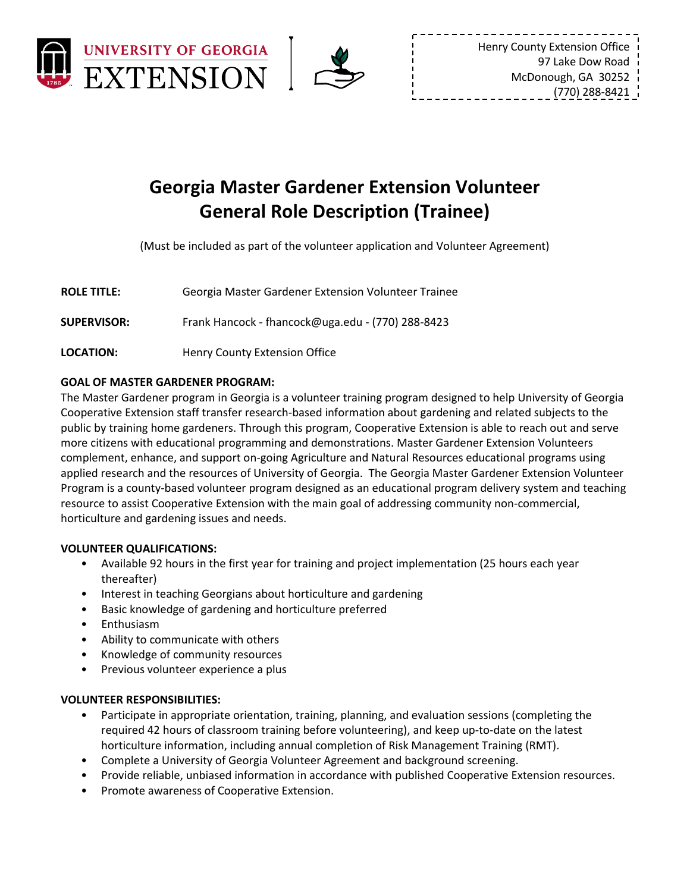



# **Georgia Master Gardener Extension Volunteer General Role Description (Trainee)**

(Must be included as part of the volunteer application and Volunteer Agreement)

| <b>ROLE TITLE:</b> | Georgia Master Gardener Extension Volunteer Trainee |  |
|--------------------|-----------------------------------------------------|--|
|                    |                                                     |  |

**SUPERVISOR:** Frank Hancock - fhancock@uga.edu - (770) 288-8423

**LOCATION:** Henry County Extension Office

# **GOAL OF MASTER GARDENER PROGRAM:**

The Master Gardener program in Georgia is a volunteer training program designed to help University of Georgia Cooperative Extension staff transfer research-based information about gardening and related subjects to the public by training home gardeners. Through this program, Cooperative Extension is able to reach out and serve more citizens with educational programming and demonstrations. Master Gardener Extension Volunteers complement, enhance, and support on-going Agriculture and Natural Resources educational programs using applied research and the resources of University of Georgia. The Georgia Master Gardener Extension Volunteer Program is a county-based volunteer program designed as an educational program delivery system and teaching resource to assist Cooperative Extension with the main goal of addressing community non-commercial, horticulture and gardening issues and needs.

# **VOLUNTEER QUALIFICATIONS:**

- Available 92 hours in the first year for training and project implementation (25 hours each year thereafter)
- Interest in teaching Georgians about horticulture and gardening
- Basic knowledge of gardening and horticulture preferred
- **Enthusiasm**
- Ability to communicate with others
- Knowledge of community resources
- Previous volunteer experience a plus

# **VOLUNTEER RESPONSIBILITIES:**

- Participate in appropriate orientation, training, planning, and evaluation sessions (completing the required 42 hours of classroom training before volunteering), and keep up-to-date on the latest horticulture information, including annual completion of Risk Management Training (RMT).
- Complete a University of Georgia Volunteer Agreement and background screening.
- Provide reliable, unbiased information in accordance with published Cooperative Extension resources.
- Promote awareness of Cooperative Extension.